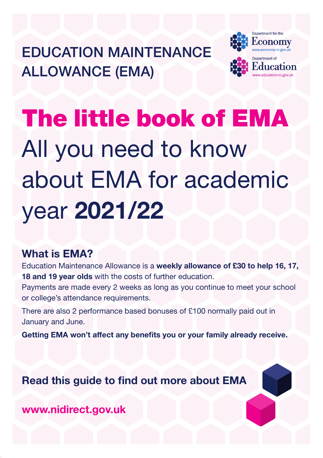EDUCATION MAINTENANCE ALLOWANCE (EMA)



# The little book of EMA All you need to know about EMA for academic year 2021/22

## What is EMA?

Education Maintenance Allowance is a weekly allowance of £30 to help 16, 17, 18 and 19 year olds with the costs of further education.

Payments are made every 2 weeks as long as you continue to meet your school or college's attendance requirements.

There are also 2 performance based bonuses of £100 normally paid out in January and June.

Getting EMA won't affect any benefits you or your family already receive.

Read this guide to find out more about EMA

www.nidirect.gov.uk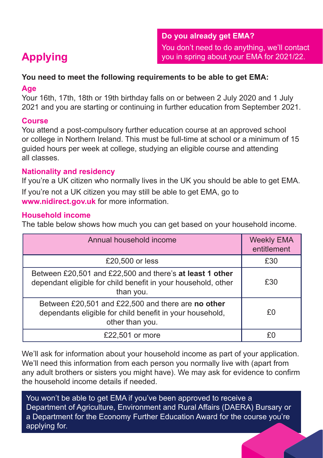#### **You need to meet the following requirements to be able to get EMA:**

#### **Age**

Your 16th, 17th, 18th or 19th birthday falls on or between 2 July 2020 and 1 July 2021 and you are starting or continuing in further education from September 2021.

### **Course**

You attend a post-compulsory further education course at an approved school or college in Northern Ireland. This must be full-time at school or a minimum of 15 guided hours per week at college, studying an eligible course and attending all classes.

### **Nationality and residency**

If you're a UK citizen who normally lives in the UK you should be able to get EMA.

If you're not a UK citizen you may still be able to get EMA, go to **www.nidirect.gov.uk** for more information.

### **Household income**

The table below shows how much you can get based on your household income.

| Annual household income                                                                                                                | <b>Weekly EMA</b><br>entitlement |
|----------------------------------------------------------------------------------------------------------------------------------------|----------------------------------|
| £20,500 or less                                                                                                                        | £30                              |
| Between £20,501 and £22,500 and there's at least 1 other<br>dependant eligible for child benefit in your household, other<br>than you. | £30                              |
| Between £20,501 and £22,500 and there are no other<br>dependants eligible for child benefit in your household,<br>other than you.      | £٥                               |
| £22,501 or more                                                                                                                        |                                  |

We'll ask for information about your household income as part of your application. We'll need this information from each person you normally live with (apart from any adult brothers or sisters you might have). We may ask for evidence to confirm the household income details if needed.

You won't be able to get EMA if you've been approved to receive a Department of Agriculture, Environment and Rural Affairs (DAERA) Bursary or a Department for the Economy Further Education Award for the course you're applying for.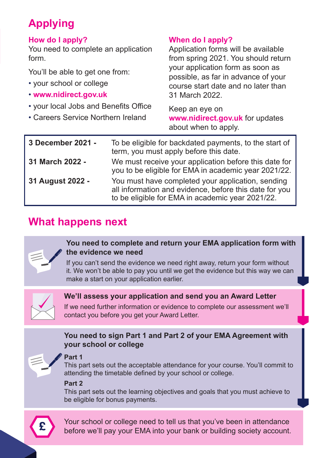## **Applying**

#### **How do I apply?**

You need to complete an application form.

You'll be able to get one from:

- your school or college
- **www.nidirect.gov.uk**
- your local Jobs and Benefits Office
- Careers Service Northern Ireland

#### **When do I apply?**

Application forms will be available from spring 2021. You should return your application form as soon as possible, as far in advance of your course start date and no later than 31 March 2022.

Keep an eye on **www.nidirect.gov.uk** for updates about when to apply.

| 3 December 2021 - | To be eligible for backdated payments, to the start of<br>term, you must apply before this date.                                                                |
|-------------------|-----------------------------------------------------------------------------------------------------------------------------------------------------------------|
| 31 March 2022 -   | We must receive your application before this date for<br>you to be eligible for EMA in academic year 2021/22.                                                   |
| 31 August 2022 -  | You must have completed your application, sending<br>all information and evidence, before this date for you<br>to be eligible for EMA in academic year 2021/22. |

## **What happens next**



#### **You need to complete and return your EMA application form with the evidence we need**

If you can't send the evidence we need right away, return your form without it. We won't be able to pay you until we get the evidence but this way we can make a start on your application earlier.



#### **We'll assess your application and send you an Award Letter**

If we need further information or evidence to complete our assessment we'll contact you before you get your Award Letter.

#### **You need to sign Part 1 and Part 2 of your EMA Agreement with your school or college**



#### **Part 1**

This part sets out the acceptable attendance for your course. You'll commit to attending the timetable defined by your school or college.

#### **Part 2**

This part sets out the learning objectives and goals that you must achieve to be eligible for bonus payments.



Your school or college need to tell us that you've been in attendance before we'll pay your EMA into your bank or building society account.